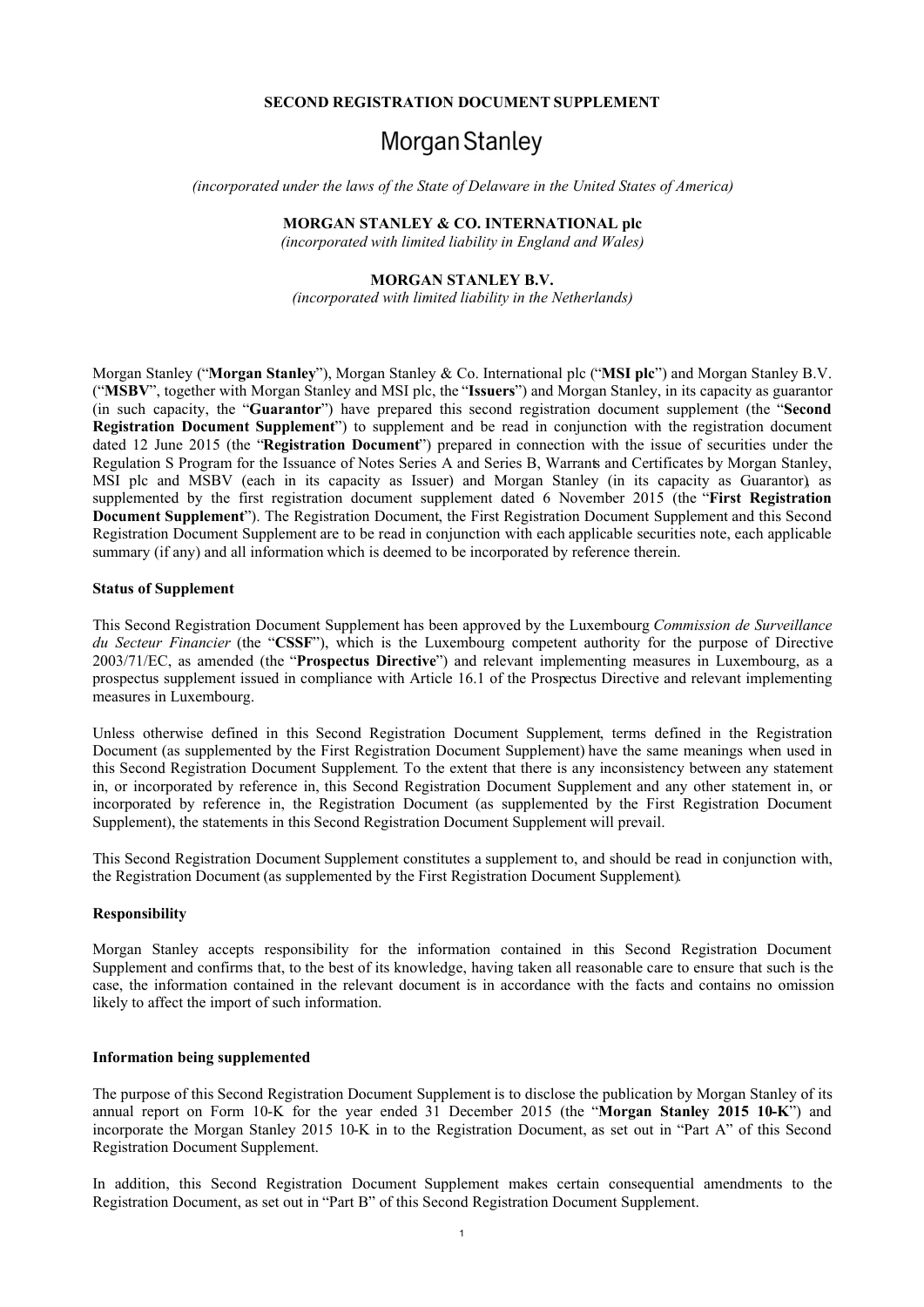#### **SECOND REGISTRATION DOCUMENT SUPPLEMENT**

# Morgan Stanley

*(incorporated under the laws of the State of Delaware in the United States of America)*

## **MORGAN STANLEY & CO. INTERNATIONAL plc**

*(incorporated with limited liability in England and Wales)*

# **MORGAN STANLEY B.V.**

*(incorporated with limited liability in the Netherlands)*

Morgan Stanley ("**Morgan Stanley**"), Morgan Stanley & Co. International plc ("**MSI plc**") and Morgan Stanley B.V. ("**MSBV**", together with Morgan Stanley and MSI plc, the "**Issuers**") and Morgan Stanley, in its capacity as guarantor (in such capacity, the "**Guarantor**") have prepared this second registration document supplement (the "**Second Registration Document Supplement**") to supplement and be read in conjunction with the registration document dated 12 June 2015 (the "**Registration Document**") prepared in connection with the issue of securities under the Regulation S Program for the Issuance of Notes Series A and Series B, Warrants and Certificates by Morgan Stanley, MSI plc and MSBV (each in its capacity as Issuer) and Morgan Stanley (in its capacity as Guarantor), as supplemented by the first registration document supplement dated 6 November 2015 (the "**First Registration Document Supplement**"). The Registration Document, the First Registration Document Supplement and this Second Registration Document Supplement are to be read in conjunction with each applicable securities note, each applicable summary (if any) and all information which is deemed to be incorporated by reference therein.

## **Status of Supplement**

This Second Registration Document Supplement has been approved by the Luxembourg *Commission de Surveillance du Secteur Financier* (the "**CSSF**"), which is the Luxembourg competent authority for the purpose of Directive 2003/71/EC, as amended (the "**Prospectus Directive**") and relevant implementing measures in Luxembourg, as a prospectus supplement issued in compliance with Article 16.1 of the Prospectus Directive and relevant implementing measures in Luxembourg.

Unless otherwise defined in this Second Registration Document Supplement, terms defined in the Registration Document (as supplemented by the First Registration Document Supplement) have the same meanings when used in this Second Registration Document Supplement. To the extent that there is any inconsistency between any statement in, or incorporated by reference in, this Second Registration Document Supplement and any other statement in, or incorporated by reference in, the Registration Document (as supplemented by the First Registration Document Supplement), the statements in this Second Registration Document Supplement will prevail.

This Second Registration Document Supplement constitutes a supplement to, and should be read in conjunction with, the Registration Document (as supplemented by the First Registration Document Supplement).

#### **Responsibility**

Morgan Stanley accepts responsibility for the information contained in this Second Registration Document Supplement and confirms that, to the best of its knowledge, having taken all reasonable care to ensure that such is the case, the information contained in the relevant document is in accordance with the facts and contains no omission likely to affect the import of such information.

#### **Information being supplemented**

The purpose of this Second Registration Document Supplement is to disclose the publication by Morgan Stanley of its annual report on Form 10-K for the year ended 31 December 2015 (the "**Morgan Stanley 2015 10-K**") and incorporate the Morgan Stanley 2015 10-K in to the Registration Document, as set out in "Part A" of this Second Registration Document Supplement.

In addition, this Second Registration Document Supplement makes certain consequential amendments to the Registration Document, as set out in "Part B" of this Second Registration Document Supplement.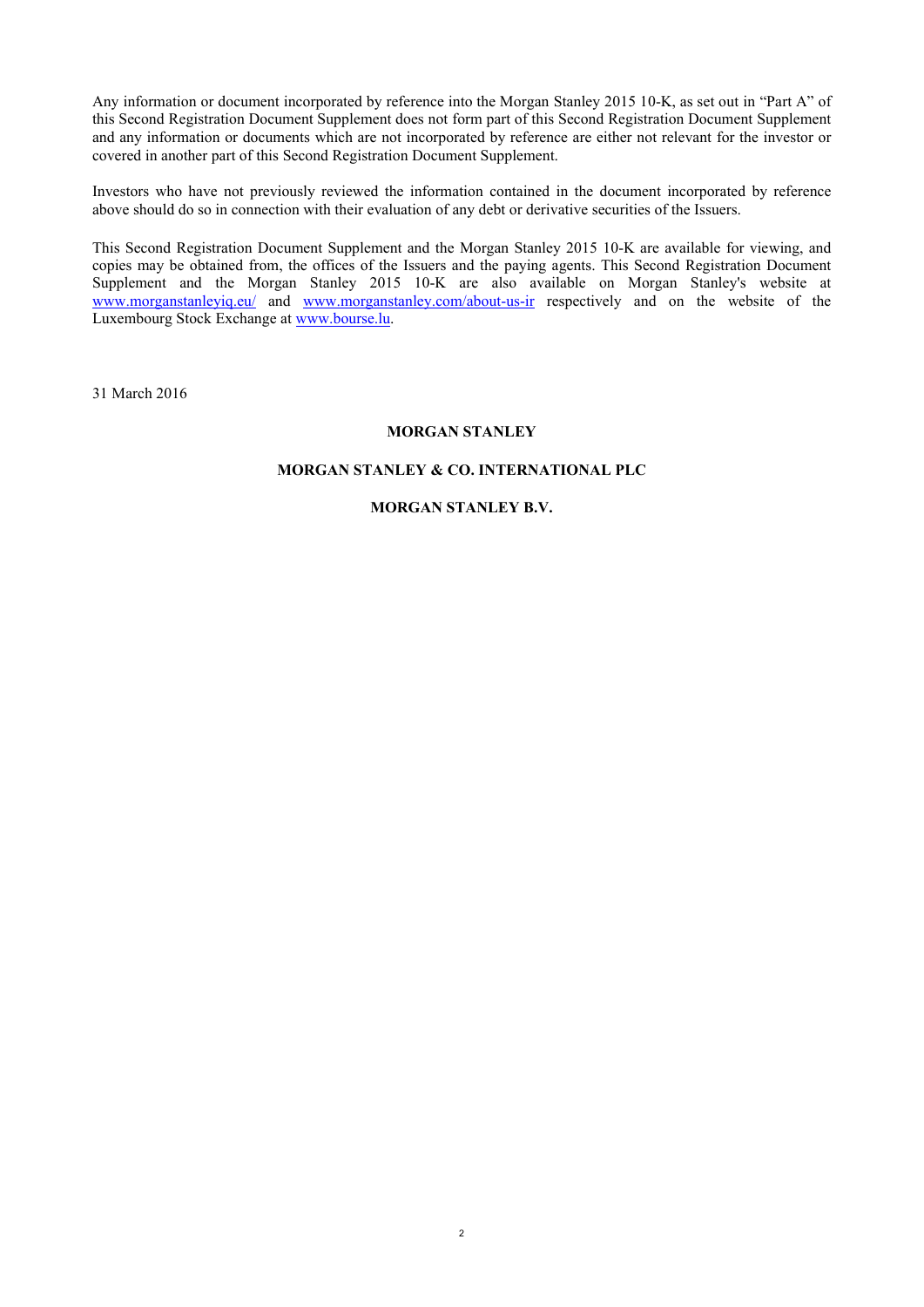Any information or document incorporated by reference into the Morgan Stanley 2015 10-K, as set out in "Part A" of this Second Registration Document Supplement does not form part of this Second Registration Document Supplement and any information or documents which are not incorporated by reference are either not relevant for the investor or covered in another part of this Second Registration Document Supplement.

Investors who have not previously reviewed the information contained in the document incorporated by reference above should do so in connection with their evaluation of any debt or derivative securities of the Issuers.

This Second Registration Document Supplement and the Morgan Stanley 2015 10-K are available for viewing, and copies may be obtained from, the offices of the Issuers and the paying agents. This Second Registration Document Supplement and the Morgan Stanley 2015 10-K are also available on Morgan Stanley's website at www.morganstanleyiq.eu/ and www.morganstanley.com/about-us-ir respectively and on the website of the Luxembourg Stock Exchange at www.bourse.lu.

31 March 2016

## **MORGAN STANLEY**

# **MORGAN STANLEY & CO. INTERNATIONAL PLC**

# **MORGAN STANLEY B.V.**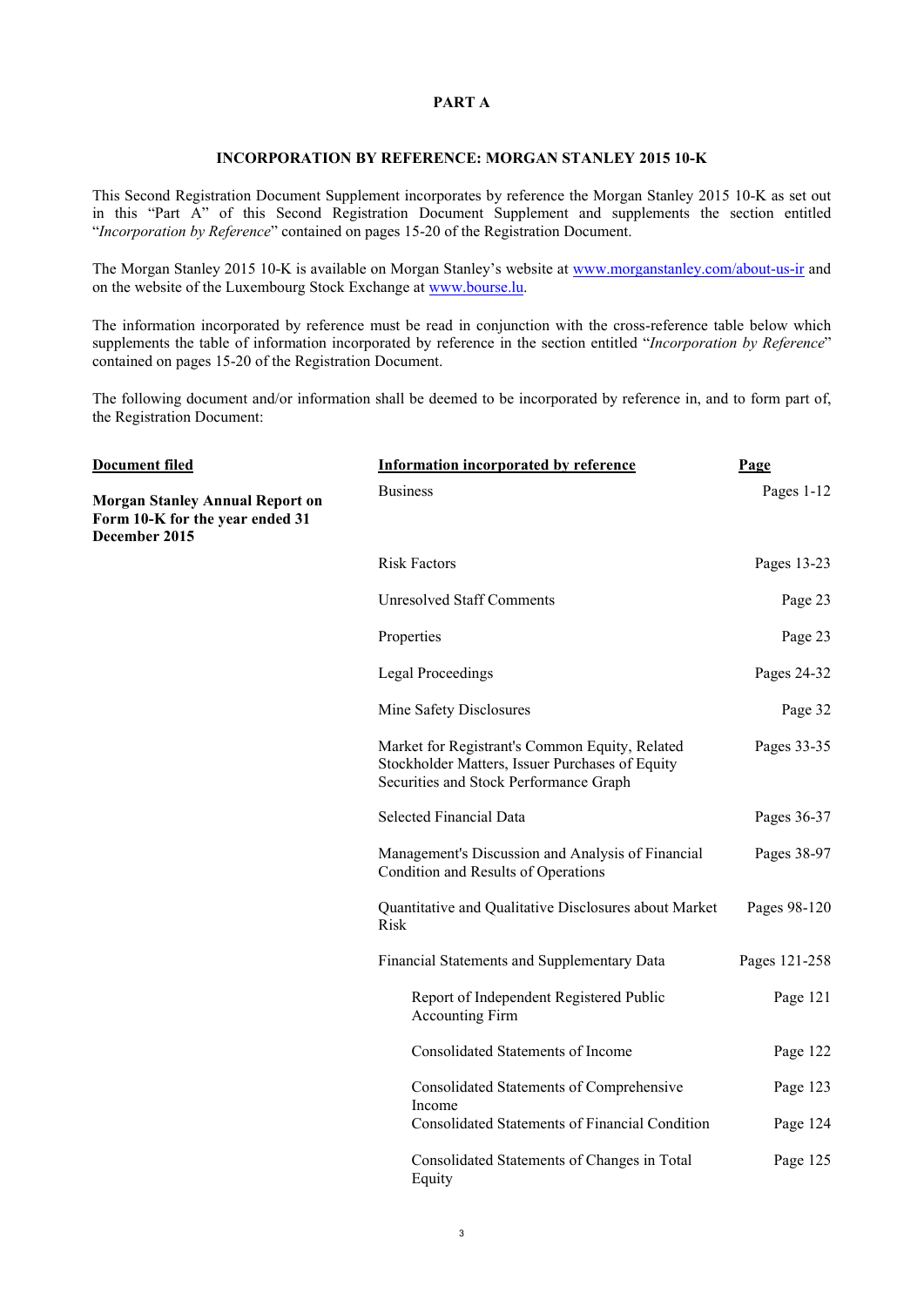## **PART A**

#### **INCORPORATION BY REFERENCE: MORGAN STANLEY 2015 10-K**

This Second Registration Document Supplement incorporates by reference the Morgan Stanley 2015 10-K as set out in this "Part A" of this Second Registration Document Supplement and supplements the section entitled "*Incorporation by Reference*" contained on pages 15-20 of the Registration Document.

The Morgan Stanley 2015 10-K is available on Morgan Stanley's website at www.morganstanley.com/about-us-ir and on the website of the Luxembourg Stock Exchange at www.bourse.lu.

The information incorporated by reference must be read in conjunction with the cross-reference table below which supplements the table of information incorporated by reference in the section entitled "*Incorporation by Reference*" contained on pages 15-20 of the Registration Document.

The following document and/or information shall be deemed to be incorporated by reference in, and to form part of, the Registration Document:

| <b>Document filed</b>                                                                      | <b>Information incorporated by reference</b>                                                                                                | Page          |
|--------------------------------------------------------------------------------------------|---------------------------------------------------------------------------------------------------------------------------------------------|---------------|
| <b>Morgan Stanley Annual Report on</b><br>Form 10-K for the year ended 31<br>December 2015 | <b>Business</b>                                                                                                                             | Pages 1-12    |
|                                                                                            | <b>Risk Factors</b>                                                                                                                         | Pages 13-23   |
|                                                                                            | <b>Unresolved Staff Comments</b>                                                                                                            | Page 23       |
|                                                                                            | Properties                                                                                                                                  | Page 23       |
|                                                                                            | <b>Legal Proceedings</b>                                                                                                                    | Pages 24-32   |
|                                                                                            | Mine Safety Disclosures                                                                                                                     | Page 32       |
|                                                                                            | Market for Registrant's Common Equity, Related<br>Stockholder Matters, Issuer Purchases of Equity<br>Securities and Stock Performance Graph | Pages 33-35   |
|                                                                                            | <b>Selected Financial Data</b>                                                                                                              | Pages 36-37   |
|                                                                                            | Management's Discussion and Analysis of Financial<br>Condition and Results of Operations                                                    | Pages 38-97   |
|                                                                                            | Quantitative and Qualitative Disclosures about Market<br>Risk                                                                               | Pages 98-120  |
|                                                                                            | Financial Statements and Supplementary Data                                                                                                 | Pages 121-258 |
|                                                                                            | Report of Independent Registered Public<br><b>Accounting Firm</b>                                                                           | Page 121      |
|                                                                                            | <b>Consolidated Statements of Income</b>                                                                                                    | Page 122      |
|                                                                                            | Consolidated Statements of Comprehensive<br>Income                                                                                          | Page 123      |
|                                                                                            | Consolidated Statements of Financial Condition                                                                                              | Page 124      |
|                                                                                            | Consolidated Statements of Changes in Total<br>Equity                                                                                       | Page 125      |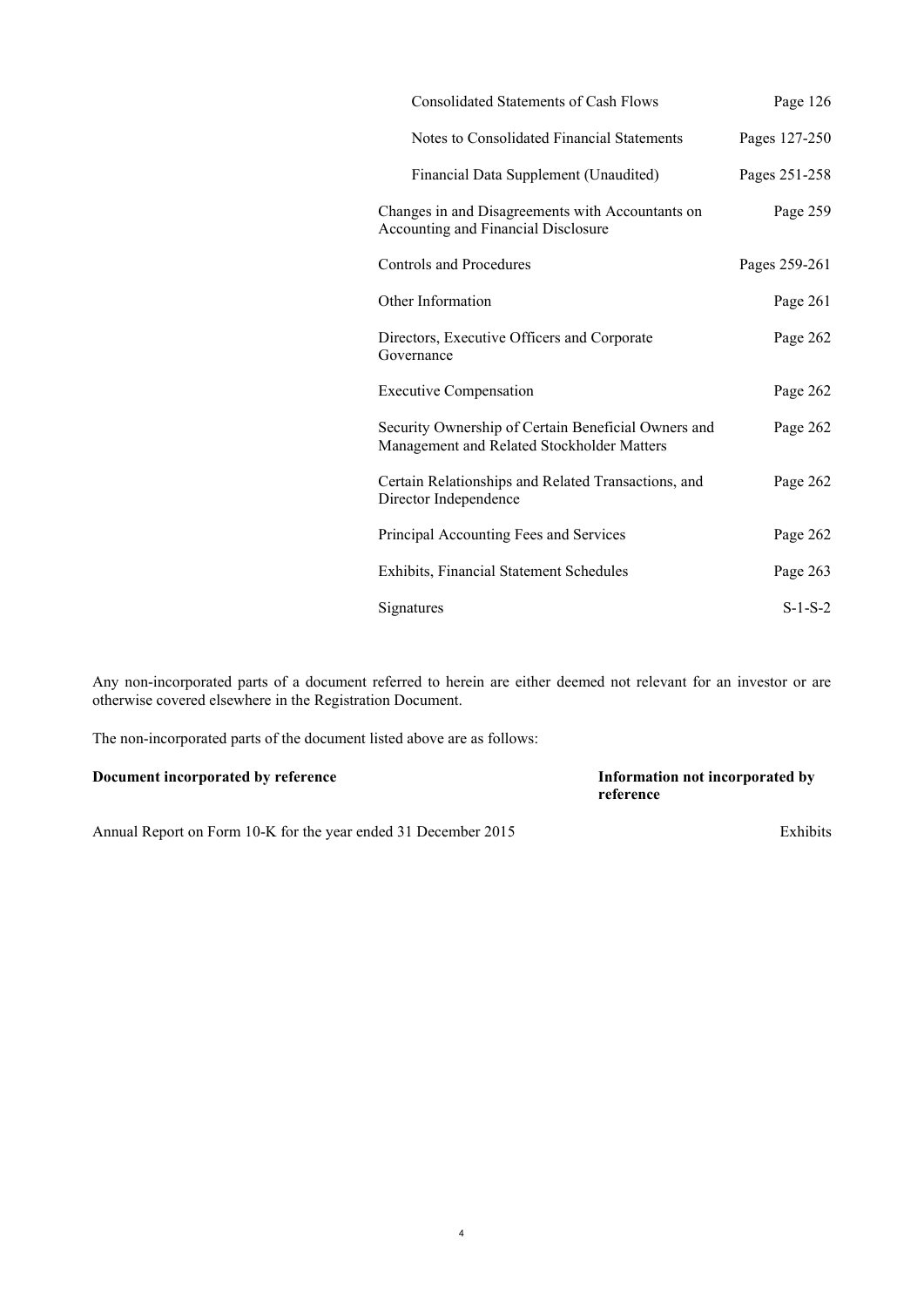| <b>Consolidated Statements of Cash Flows</b>                                                      | Page 126      |
|---------------------------------------------------------------------------------------------------|---------------|
| Notes to Consolidated Financial Statements                                                        | Pages 127-250 |
| Financial Data Supplement (Unaudited)                                                             | Pages 251-258 |
| Changes in and Disagreements with Accountants on<br>Accounting and Financial Disclosure           | Page 259      |
| <b>Controls and Procedures</b>                                                                    | Pages 259-261 |
| Other Information                                                                                 | Page 261      |
| Directors, Executive Officers and Corporate<br>Governance                                         | Page 262      |
| <b>Executive Compensation</b>                                                                     | Page 262      |
| Security Ownership of Certain Beneficial Owners and<br>Management and Related Stockholder Matters | Page 262      |
| Certain Relationships and Related Transactions, and<br>Director Independence                      | Page 262      |
| Principal Accounting Fees and Services                                                            | Page 262      |
| Exhibits, Financial Statement Schedules                                                           | Page 263      |
| Signatures                                                                                        | $S-1-S-2$     |

Any non-incorporated parts of a document referred to herein are either deemed not relevant for an investor or are otherwise covered elsewhere in the Registration Document.

The non-incorporated parts of the document listed above are as follows:

| Document incorporated by reference | Information not incorporated by |
|------------------------------------|---------------------------------|
|                                    | reference                       |
|                                    |                                 |

Annual Report on Form 10-K for the year ended 31 December 2015 Exhibits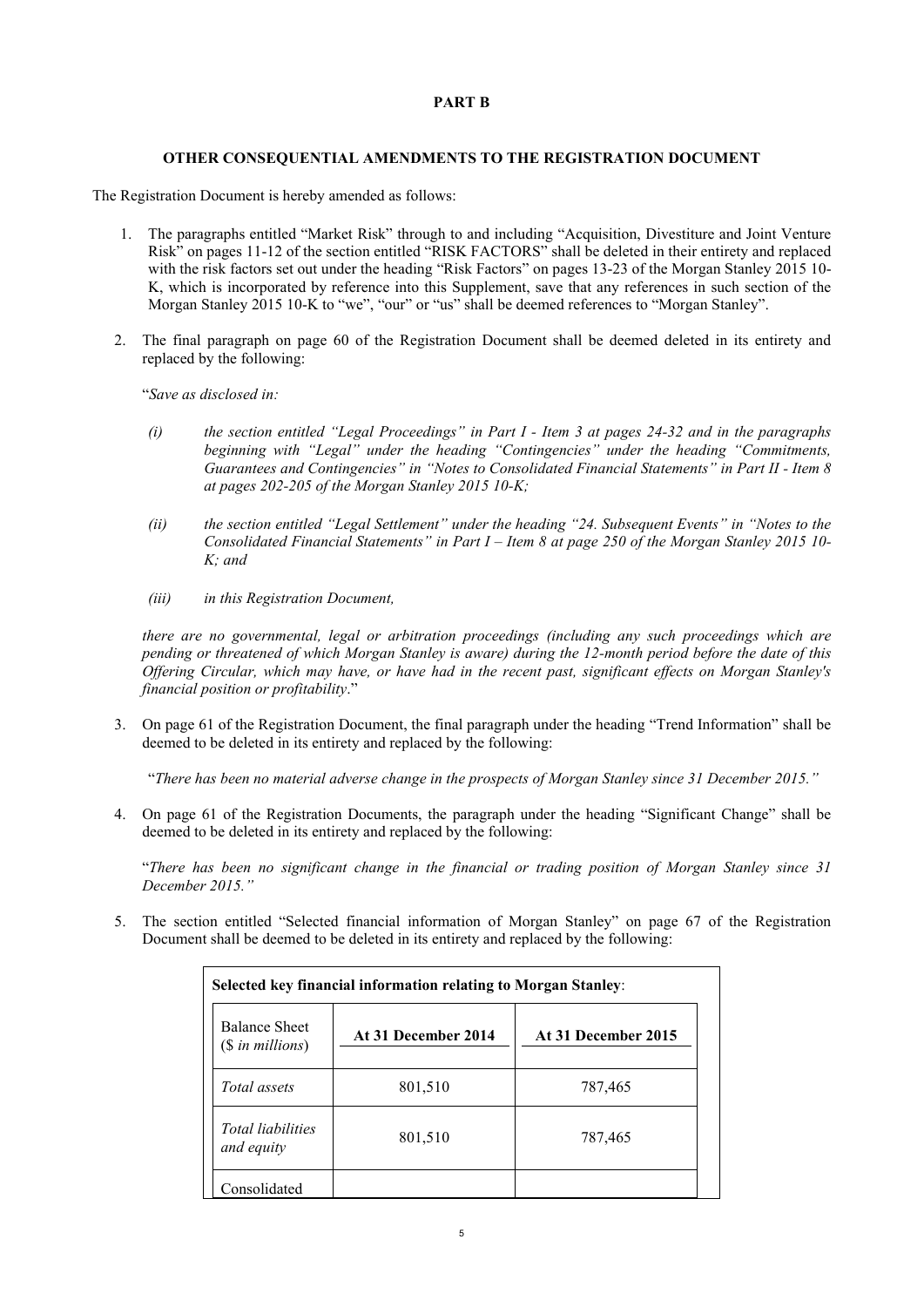## **PART B**

## **OTHER CONSEQUENTIAL AMENDMENTS TO THE REGISTRATION DOCUMENT**

The Registration Document is hereby amended as follows:

- 1. The paragraphs entitled "Market Risk" through to and including "Acquisition, Divestiture and Joint Venture Risk" on pages 11-12 of the section entitled "RISK FACTORS" shall be deleted in their entirety and replaced with the risk factors set out under the heading "Risk Factors" on pages 13-23 of the Morgan Stanley 2015 10-K, which is incorporated by reference into this Supplement, save that any references in such section of the Morgan Stanley 2015 10-K to "we", "our" or "us" shall be deemed references to "Morgan Stanley".
- 2. The final paragraph on page 60 of the Registration Document shall be deemed deleted in its entirety and replaced by the following:

"*Save as disclosed in:*

- *(i) the section entitled "Legal Proceedings" in Part I - Item 3 at pages 24-32 and in the paragraphs beginning with "Legal" under the heading "Contingencies" under the heading "Commitments, Guarantees and Contingencies" in "Notes to Consolidated Financial Statements" in Part II - Item 8 at pages 202-205 of the Morgan Stanley 2015 10-K;*
- *(ii) the section entitled "Legal Settlement" under the heading "24. Subsequent Events" in "Notes to the Consolidated Financial Statements" in Part I – Item 8 at page 250 of the Morgan Stanley 2015 10- K; and*
- *(iii) in this Registration Document,*

*there are no governmental, legal or arbitration proceedings (including any such proceedings which are pending or threatened of which Morgan Stanley is aware) during the 12-month period before the date of this Offering Circular, which may have, or have had in the recent past, significant effects on Morgan Stanley's financial position or profitability*."

3. On page 61 of the Registration Document, the final paragraph under the heading "Trend Information" shall be deemed to be deleted in its entirety and replaced by the following:

"*There has been no material adverse change in the prospects of Morgan Stanley since 31 December 2015."*

4. On page 61 of the Registration Documents, the paragraph under the heading "Significant Change" shall be deemed to be deleted in its entirety and replaced by the following:

"*There has been no significant change in the financial or trading position of Morgan Stanley since 31 December 2015."*

5. The section entitled "Selected financial information of Morgan Stanley" on page 67 of the Registration Document shall be deemed to be deleted in its entirety and replaced by the following:

| <b>Balance Sheet</b><br>$($in\, millions)$ | At 31 December 2014 | At 31 December 2015 |
|--------------------------------------------|---------------------|---------------------|
| Total assets                               | 801,510             | 787,465             |
| <b>Total liabilities</b><br>and equity     | 801,510             | 787,465             |
| Consolidated                               |                     |                     |